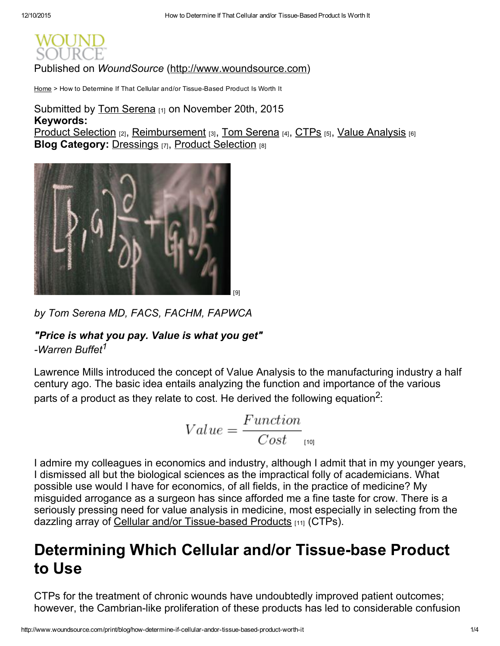Published on *WoundSource* [\(http://www.woundsource.com\)](http://www.woundsource.com/)

[Home](http://www.woundsource.com/) > How to Determine If That Cellular and/or Tissue-Based Product Is Worth It

### Keywords: Product [Selection](http://www.woundsource.com/tags/product-selection) [2], [Reimbursement](http://www.woundsource.com/tags/reimbursement) [3], Tom [Serena](http://www.woundsource.com/tags/tom-serena) [4], [CTPs](http://www.woundsource.com/tags/ctps) [5], Value [Analysis](http://www.woundsource.com/tags/value-analysis) [6] **Blog Category: [Dressings](http://www.woundsource.com/blog-category/dressings) [7], Product [Selection](http://www.woundsource.com/blog-category/product-selection) [8]** Submitted by Tom [Serena](http://www.woundsource.com/users/tom-serena) [1] on November 20th, 2015



*by Tom Serena MD, FACS, FACHM, FAPWCA*

### *"Price is what you pay. Value is what you get"*

*Warren Buffet 1*

Lawrence Mills introduced the concept of Value Analysis to the manufacturing industry a half century ago. The basic idea entails analyzing the function and importance of the various parts of a product as they relate to cost. He derived the following equation $^2\mathpunct:$ 

$$
Value = \frac{Function}{Cost}_{\text{[10]}}
$$

I admire my colleagues in economics and industry, although I admit that in my younger years, I dismissed all but the biological sciences as the impractical folly of academicians. What possible use would I have for economics, of all fields, in the practice of medicine? My misguided arrogance as a surgeon has since afforded me a fine taste for crow. There is a seriously pressing need for value analysis in medicine, most especially in selecting from the dazzling array of Cellular and/or Tissue-based Products [11] (CTPs).

# Determining Which Cellular and/or Tissue-base Product to Use

CTPs for the treatment of chronic wounds have undoubtedly improved patient outcomes; however, the Cambrian-like proliferation of these products has led to considerable confusion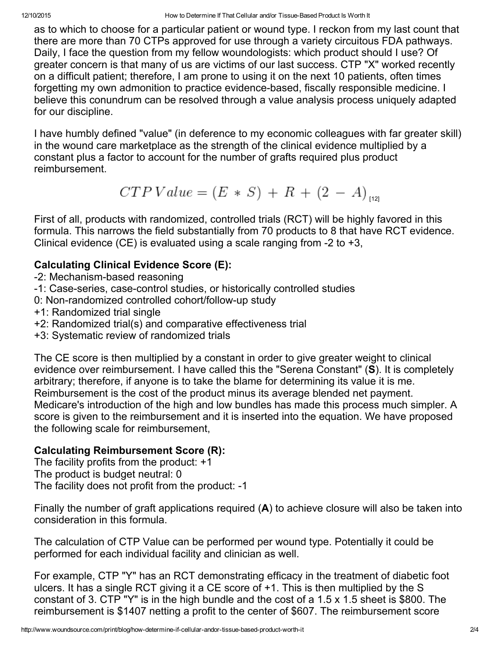as to which to choose for a particular patient or wound type. I reckon from my last count that there are more than 70 CTPs approved for use through a variety circuitous FDA pathways. Daily, I face the question from my fellow woundologists: which product should I use? Of greater concern is that many of us are victims of our last success. CTP "X" worked recently on a difficult patient; therefore, I am prone to using it on the next 10 patients, often times forgetting my own admonition to practice evidence-based, fiscally responsible medicine. I believe this conundrum can be resolved through a value analysis process uniquely adapted for our discipline.

I have humbly defined "value" (in deference to my economic colleagues with far greater skill) in the wound care marketplace as the strength of the clinical evidence multiplied by a constant plus a factor to account for the number of grafts required plus product reimbursement.

$$
CTPValue = (E * S) + R + (2 - A)_{[12]}
$$

First of all, products with randomized, controlled trials (RCT) will be highly favored in this formula. This narrows the field substantially from 70 products to 8 that have RCT evidence. Clinical evidence (CE) is evaluated using a scale ranging from  $-2$  to  $+3$ ,

### Calculating Clinical Evidence Score (E):

- -2: Mechanism-based reasoning
- -1: Case-series, case-control studies, or historically controlled studies
- 0: Non-randomized controlled cohort/follow-up study
- +1: Randomized trial single
- +2: Randomized trial(s) and comparative effectiveness trial
- +3: Systematic review of randomized trials

The CE score is then multiplied by a constant in order to give greater weight to clinical evidence over reimbursement. I have called this the "Serena Constant" (S). It is completely arbitrary; therefore, if anyone is to take the blame for determining its value it is me. Reimbursement is the cost of the product minus its average blended net payment. Medicare's introduction of the high and low bundles has made this process much simpler. A score is given to the reimbursement and it is inserted into the equation. We have proposed the following scale for reimbursement,

### Calculating Reimbursement Score (R):

The facility profits from the product: +1 The product is budget neutral: 0 The facility does not profit from the product: -1

Finally the number of graft applications required  $(A)$  to achieve closure will also be taken into consideration in this formula.

The calculation of CTP Value can be performed per wound type. Potentially it could be performed for each individual facility and clinician as well.

For example, CTP "Y" has an RCT demonstrating efficacy in the treatment of diabetic foot ulcers. It has a single RCT giving it a CE score of +1. This is then multiplied by the S constant of 3. CTP "Y" is in the high bundle and the cost of a 1.5 x 1.5 sheet is \$800. The reimbursement is \$1407 netting a profit to the center of \$607. The reimbursement score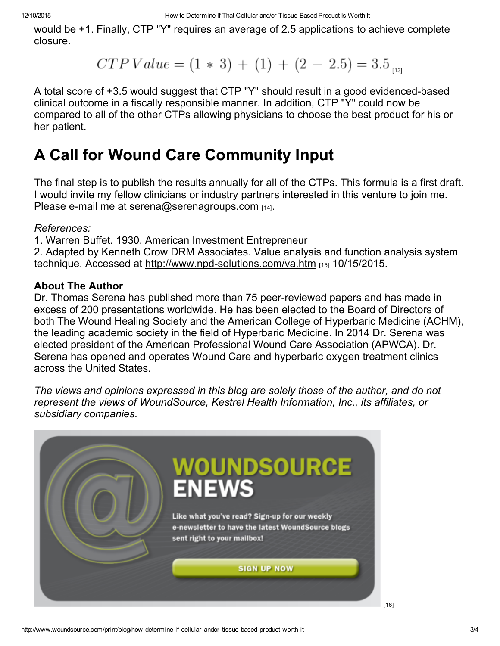would be +1. Finally, CTP "Y" requires an average of 2.5 applications to achieve complete closure.

 $CTP Value = (1 * 3) + (1) + (2 - 2.5) = 3.5$ <sub>[13]</sub>

A total score of +3.5 would suggest that CTP "Y" should result in a good evidenced-based clinical outcome in a fiscally responsible manner. In addition, CTP "Y" could now be compared to all of the other CTPs allowing physicians to choose the best product for his or her patient.

# A Call for Wound Care Community Input

The final step is to publish the results annually for all of the CTPs. This formula is a first draft. I would invite my fellow clinicians or industry partners interested in this venture to join me. Please e-mail me at [serena@serenagroups.com](mailto:serena@serenagroups.com)  $141$ .

### *References:*

1. Warren Buffet. 1930. American Investment Entrepreneur

2. Adapted by Kenneth Crow DRM Associates. Value analysis and function analysis system technique. Accessed at http://www.npd-solutions.com/va.htm  $_{[15]}$  10/15/2015.

### About The Author

Dr. Thomas Serena has published more than 75 peer-reviewed papers and has made in excess of 200 presentations worldwide. He has been elected to the Board of Directors of both The Wound Healing Society and the American College of Hyperbaric Medicine (ACHM), the leading academic society in the field of Hyperbaric Medicine. In 2014 Dr. Serena was elected president of the American Professional Wound Care Association (APWCA). Dr. Serena has opened and operates Wound Care and hyperbaric oxygen treatment clinics across the United States.

*The views and opinions expressed in this blog are solely those of the author, and do not represent the views of WoundSource, Kestrel Health Information, Inc., its affiliates, or subsidiary companies.*